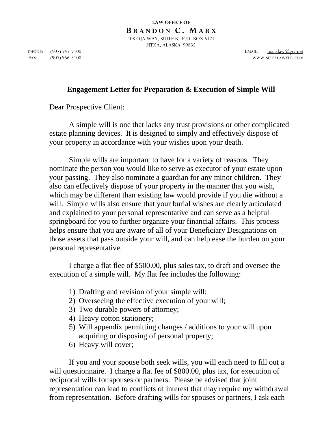**B R A N D O N C . M A R X** 

408 OJA WAY, SUITE B, P.O. BOX 6171 SITKA, ALASKA 99835

## **Engagement Letter for Preparation & Execution of Simple Will**

Dear Prospective Client:

A simple will is one that lacks any trust provisions or other complicated estate planning devices. It is designed to simply and effectively dispose of your property in accordance with your wishes upon your death.

Simple wills are important to have for a variety of reasons. They nominate the person you would like to serve as executor of your estate upon your passing. They also nominate a guardian for any minor children. They also can effectively dispose of your property in the manner that you wish, which may be different than existing law would provide if you die without a will. Simple wills also ensure that your burial wishes are clearly articulated and explained to your personal representative and can serve as a helpful springboard for you to further organize your financial affairs. This process helps ensure that you are aware of all of your Beneficiary Designations on those assets that pass outside your will, and can help ease the burden on your personal representative.

I charge a flat flee of \$500.00, plus sales tax, to draft and oversee the execution of a simple will. My flat fee includes the following:

- 1) Drafting and revision of your simple will;
- 2) Overseeing the effective execution of your will;
- 3) Two durable powers of attorney;
- 4) Heavy cotton stationery;
- 5) Will appendix permitting changes / additions to your will upon acquiring or disposing of personal property;
- 6) Heavy will cover;

If you and your spouse both seek wills, you will each need to fill out a will questionnaire. I charge a flat fee of \$800.00, plus tax, for execution of reciprocal wills for spouses or partners. Please be advised that joint representation can lead to conflicts of interest that may require my withdrawal from representation. Before drafting wills for spouses or partners, I ask each